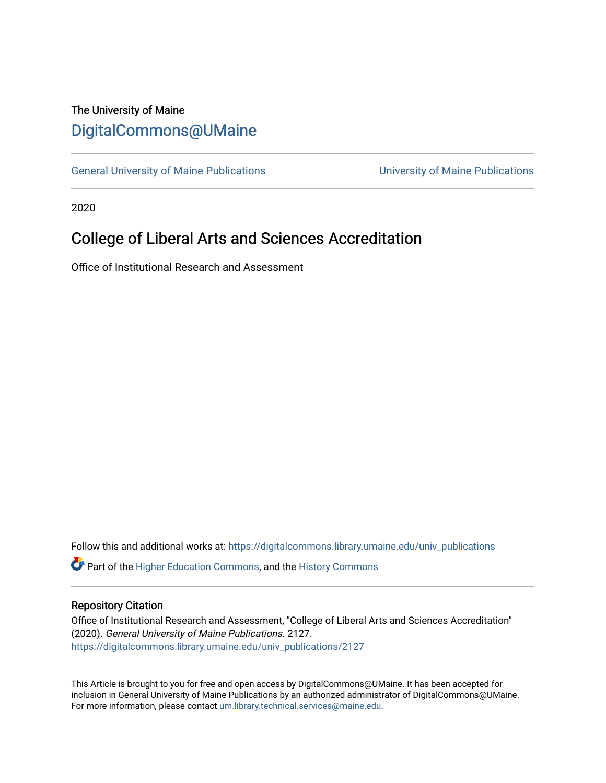## The University of Maine [DigitalCommons@UMaine](https://digitalcommons.library.umaine.edu/)

[General University of Maine Publications](https://digitalcommons.library.umaine.edu/univ_publications) [University of Maine Publications](https://digitalcommons.library.umaine.edu/umaine_publications) 

2020

# College of Liberal Arts and Sciences Accreditation

Office of Institutional Research and Assessment

Follow this and additional works at: [https://digitalcommons.library.umaine.edu/univ\\_publications](https://digitalcommons.library.umaine.edu/univ_publications?utm_source=digitalcommons.library.umaine.edu%2Funiv_publications%2F2127&utm_medium=PDF&utm_campaign=PDFCoverPages) 

**C** Part of the [Higher Education Commons,](http://network.bepress.com/hgg/discipline/1245?utm_source=digitalcommons.library.umaine.edu%2Funiv_publications%2F2127&utm_medium=PDF&utm_campaign=PDFCoverPages) and the [History Commons](http://network.bepress.com/hgg/discipline/489?utm_source=digitalcommons.library.umaine.edu%2Funiv_publications%2F2127&utm_medium=PDF&utm_campaign=PDFCoverPages)

#### Repository Citation

Office of Institutional Research and Assessment, "College of Liberal Arts and Sciences Accreditation" (2020). General University of Maine Publications. 2127. [https://digitalcommons.library.umaine.edu/univ\\_publications/2127](https://digitalcommons.library.umaine.edu/univ_publications/2127?utm_source=digitalcommons.library.umaine.edu%2Funiv_publications%2F2127&utm_medium=PDF&utm_campaign=PDFCoverPages)

This Article is brought to you for free and open access by DigitalCommons@UMaine. It has been accepted for inclusion in General University of Maine Publications by an authorized administrator of DigitalCommons@UMaine. For more information, please contact [um.library.technical.services@maine.edu](mailto:um.library.technical.services@maine.edu).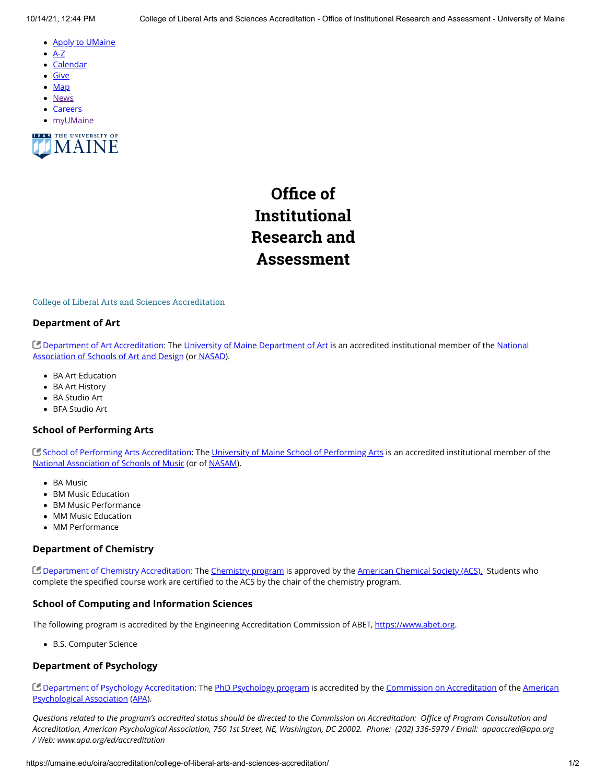- **[Apply to UMaine](https://go.umaine.edu/apply/)**
- $\bullet$ [A-Z](https://umaine.edu/directory/)
- **[Calendar](https://calendar.umaine.edu/)**
- [Give](https://securelb.imodules.com/s/300/13-ORONO/foundation/index.aspx?sid=300&gid=13&pgid=748&cid=1912)
- [Map](https://umaine.edu/campus-map)
- **[News](https://umaine.edu/news/)**
- **[Careers](https://umaine.edu/hr/career-opportunities/)**
- [myUMaine](https://my.umaine.edu/)



# **Office of Institutional Research and Assessment**

#### College of Liberal Arts and Sciences Accreditation

#### **Department of Art**

[Department of Art Accreditation](https://nasad.arts-accredit.org/directory-lists/accredited-institutions/search/?id=I0093)[: The](https://nasad.arts-accredit.org/) [University of Maine Department of Art](https://umaine.edu/art/) [is an accredited institutional member of the National](https://nasad.arts-accredit.org/) Association of Schools of Art and Design (or [NASAD\)](https://nasad.arts-accredit.org/).

- BA Art Education
- BA Art History
- BA Studio Art
- BFA Studio Art

#### **School of Performing Arts**

C [School of Performing Arts Accreditation:](https://nasm.arts-accredit.org/directory-lists/accredited-institutions/search/?id=I0093) The [University of Maine School of Performing Arts](https://umaine.edu/spa/) is an accredited institutional member of the [National Association of Schools of Music](https://nasm.arts-accredit.org/) (or of [NASAM\)](https://nasm.arts-accredit.org/).

- BA Music
- BM Music Education
- BM Music Performance
- MM Music Education
- MM Performance

#### **Department of Chemistry**

[Department of Chemistry Accreditation:](https://webapplications.acs.org/Applications/CPTASL/app_list_results.cfm?STATE_CODE=ME) The [Chemistry program](https://umaine.edu/chemistry/) is approved by the [American Chemical Society \(ACS\).](https://www.acs.org/content/acs/en.html) Students who complete the specified course work are certified to the ACS by the chair of the chemistry program.

#### **School of Computing and Information Sciences**

The following program is accredited by the Engineering Accreditation Commission of ABET, [https://www.abet.org.](https://www.abet.org/)

B.S. Computer Science

#### **Department of Psychology**

[Department of Psychology Accreditation](https://www.apa.org/ed/accreditation/programs/index)[: The](http://www.apa.org/) [PhD Psychology program](https://umaine.edu/psychology/graduate-program/) [is accredited by the C](http://www.apa.org/)[ommission on Accreditatio](http://www.apa.org/ed/accreditation/about/coa/)[n of the American](http://www.apa.org/) Psychological Association [\(APA\)](http://www.apa.org/).

*Questions related to the program's accredited status should be directed to the Commission on Accreditation: Office of Program Consultation and Accreditation, American Psychological Association, 750 1st Street, NE, Washington, DC 20002. Phone: (202) 336-5979 / Email: apaaccred@apa.org / Web: www.apa.org/ed/accreditation*